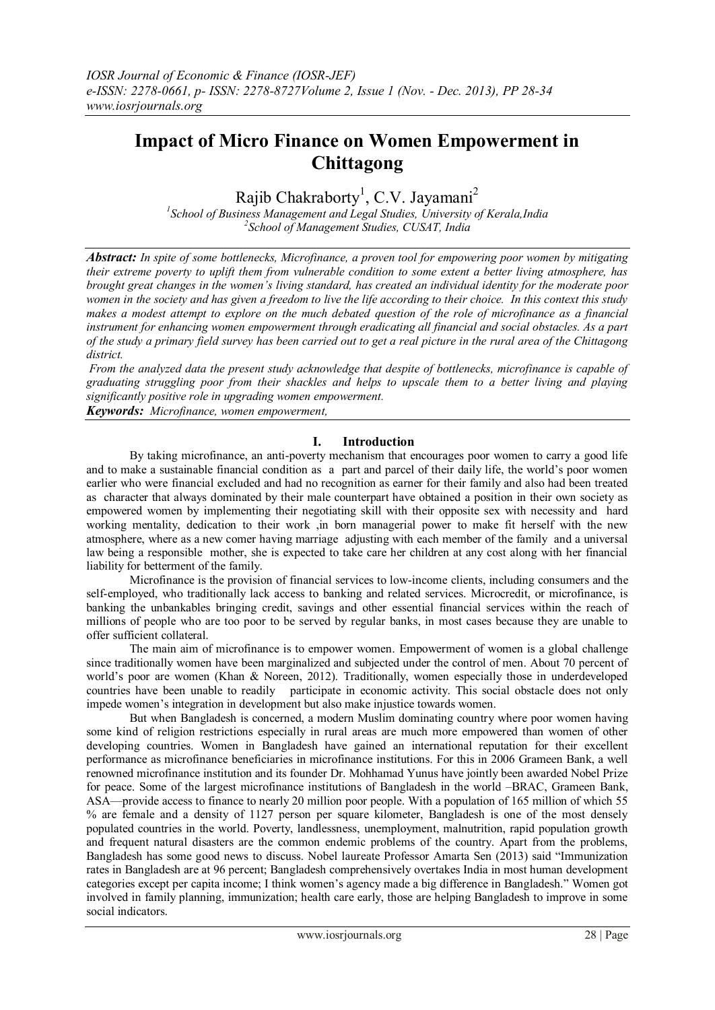# **Impact of Micro Finance on Women Empowerment in Chittagong**

Rajib Chakraborty<sup>1</sup>, C.V. Jayamani<sup>2</sup>

*1 School of Business Management and Legal Studies, University of Kerala,India 2 School of Management Studies, CUSAT, India*

*Abstract: In spite of some bottlenecks, Microfinance, a proven tool for empowering poor women by mitigating their extreme poverty to uplift them from vulnerable condition to some extent a better living atmosphere, has brought great changes in the women's living standard, has created an individual identity for the moderate poor women in the society and has given a freedom to live the life according to their choice. In this context this study makes a modest attempt to explore on the much debated question of the role of microfinance as a financial instrument for enhancing women empowerment through eradicating all financial and social obstacles. As a part of the study a primary field survey has been carried out to get a real picture in the rural area of the Chittagong district.*

*From the analyzed data the present study acknowledge that despite of bottlenecks, microfinance is capable of graduating struggling poor from their shackles and helps to upscale them to a better living and playing significantly positive role in upgrading women empowerment.*

*Keywords: Microfinance, women empowerment,* 

#### **I. Introduction**

By taking microfinance, an anti-poverty mechanism that encourages poor women to carry a good life and to make a sustainable financial condition as a part and parcel of their daily life, the world's poor women earlier who were financial excluded and had no recognition as earner for their family and also had been treated as character that always dominated by their male counterpart have obtained a position in their own society as empowered women by implementing their negotiating skill with their opposite sex with necessity and hard working mentality, dedication to their work ,in born managerial power to make fit herself with the new atmosphere, where as a new comer having marriage adjusting with each member of the family and a universal law being a responsible mother, she is expected to take care her children at any cost along with her financial liability for betterment of the family.

Microfinance is the provision of financial services to low-income clients, including consumers and the self-employed, who traditionally lack access to banking and related services. Microcredit, or microfinance, is banking the unbankables bringing credit, savings and other essential financial services within the reach of millions of people who are too poor to be served by regular banks, in most cases because they are unable to offer sufficient collateral.

The main aim of microfinance is to empower women. Empowerment of women is a global challenge since traditionally women have been marginalized and subjected under the control of men. About 70 percent of world's poor are women (Khan & Noreen, 2012). Traditionally, women especially those in underdeveloped countries have been unable to readily participate in economic activity. This social obstacle does not only impede women's integration in development but also make injustice towards women.

But when Bangladesh is concerned, a modern Muslim dominating country where poor women having some kind of religion restrictions especially in rural areas are much more empowered than women of other developing countries. Women in Bangladesh have gained an international reputation for their excellent performance as microfinance beneficiaries in microfinance institutions. For this in 2006 Grameen Bank, a well renowned microfinance institution and its founder Dr. Mohhamad Yunus have jointly been awarded Nobel Prize for peace. Some of the largest microfinance institutions of Bangladesh in the world –BRAC, Grameen Bank, ASA—provide access to finance to nearly 20 million poor people. With a population of 165 million of which 55 % are female and a density of 1127 person per square kilometer, Bangladesh is one of the most densely populated countries in the world. Poverty, landlessness, unemployment, malnutrition, rapid population growth and frequent natural disasters are the common endemic problems of the country. Apart from the problems, Bangladesh has some good news to discuss. Nobel laureate Professor Amarta Sen (2013) said "Immunization" rates in Bangladesh are at 96 percent; Bangladesh comprehensively overtakes India in most human development categories except per capita income; I think women's agency made a big difference in Bangladesh." Women got involved in family planning, immunization; health care early, those are helping Bangladesh to improve in some social indicators.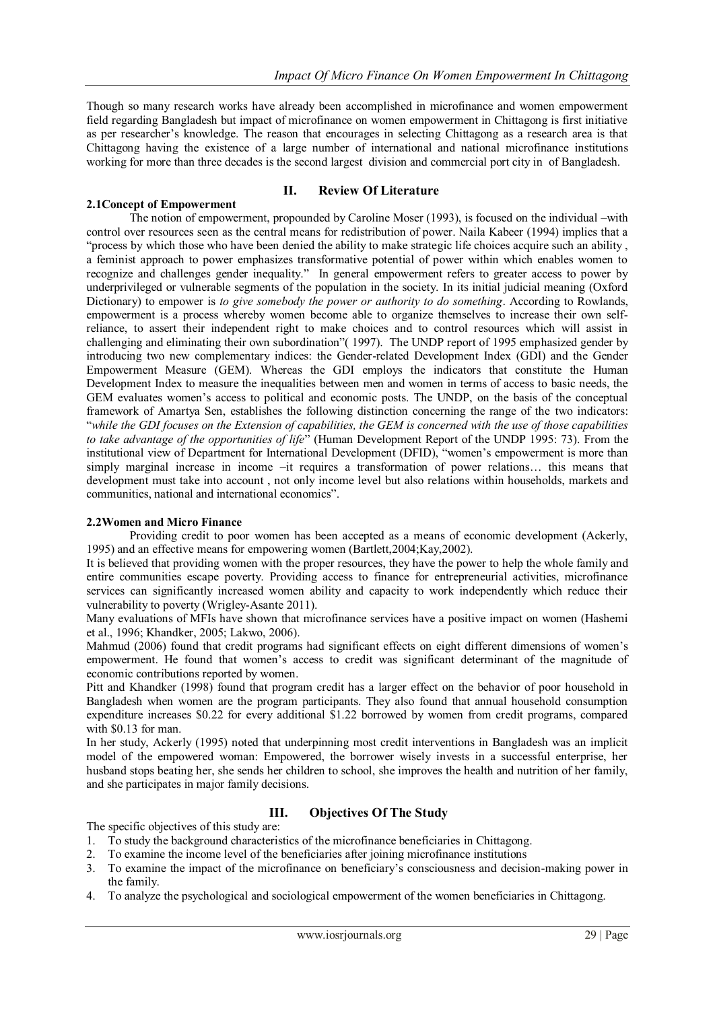Though so many research works have already been accomplished in microfinance and women empowerment field regarding Bangladesh but impact of microfinance on women empowerment in Chittagong is first initiative as per researcher's knowledge. The reason that encourages in selecting Chittagong as a research area is that Chittagong having the existence of a large number of international and national microfinance institutions working for more than three decades is the second largest division and commercial port city in of Bangladesh.

## **II. Review Of Literature**

# **2.1Concept of Empowerment**

The notion of empowerment, propounded by Caroline Moser (1993), is focused on the individual –with control over resources seen as the central means for redistribution of power. Naila Kabeer (1994) implies that a "process by which those who have been denied the ability to make strategic life choices acquire such an ability, a feminist approach to power emphasizes transformative potential of power within which enables women to recognize and challenges gender inequality." In general empowerment refers to greater access to power by underprivileged or vulnerable segments of the population in the society. In its initial judicial meaning (Oxford Dictionary) to empower is *to give somebody the power or authority to do something*. According to Rowlands, empowerment is a process whereby women become able to organize themselves to increase their own selfreliance, to assert their independent right to make choices and to control resources which will assist in challenging and eliminating their own subordination" (1997). The UNDP report of 1995 emphasized gender by introducing two new complementary indices: the Gender-related Development Index (GDI) and the Gender Empowerment Measure (GEM). Whereas the GDI employs the indicators that constitute the Human Development Index to measure the inequalities between men and women in terms of access to basic needs, the GEM evaluates women's access to political and economic posts. The UNDP, on the basis of the conceptual framework of Amartya Sen, establishes the following distinction concerning the range of the two indicators: ―*while the GDI focuses on the Extension of capabilities, the GEM is concerned with the use of those capabilities*  to take advantage of the opportunities of life" (Human Development Report of the UNDP 1995: 73). From the institutional view of Department for International Development (DFID), "women's empowerment is more than simply marginal increase in income –it requires a transformation of power relations... this means that development must take into account , not only income level but also relations within households, markets and communities, national and international economics".

#### **2.2Women and Micro Finance**

Providing credit to poor women has been accepted as a means of economic development (Ackerly, 1995) and an effective means for empowering women (Bartlett,2004;Kay,2002).

It is believed that providing women with the proper resources, they have the power to help the whole family and entire communities escape poverty. Providing access to finance for entrepreneurial activities, microfinance services can significantly increased women ability and capacity to work independently which reduce their vulnerability to poverty (Wrigley-Asante 2011).

Many evaluations of MFIs have shown that microfinance services have a positive impact on women (Hashemi et al., 1996; Khandker, 2005; Lakwo, 2006).

Mahmud (2006) found that credit programs had significant effects on eight different dimensions of women's empowerment. He found that women's access to credit was significant determinant of the magnitude of economic contributions reported by women.

Pitt and Khandker (1998) found that program credit has a larger effect on the behavior of poor household in Bangladesh when women are the program participants. They also found that annual household consumption expenditure increases \$0.22 for every additional \$1.22 borrowed by women from credit programs, compared with \$0.13 for man.

In her study, Ackerly (1995) noted that underpinning most credit interventions in Bangladesh was an implicit model of the empowered woman: Empowered, the borrower wisely invests in a successful enterprise, her husband stops beating her, she sends her children to school, she improves the health and nutrition of her family, and she participates in major family decisions.

## **III. Objectives Of The Study**

The specific objectives of this study are:

- 1. To study the background characteristics of the microfinance beneficiaries in Chittagong.
- 2. To examine the income level of the beneficiaries after joining microfinance institutions
- 3. To examine the impact of the microfinance on beneficiary's consciousness and decision-making power in the family.
- 4. To analyze the psychological and sociological empowerment of the women beneficiaries in Chittagong.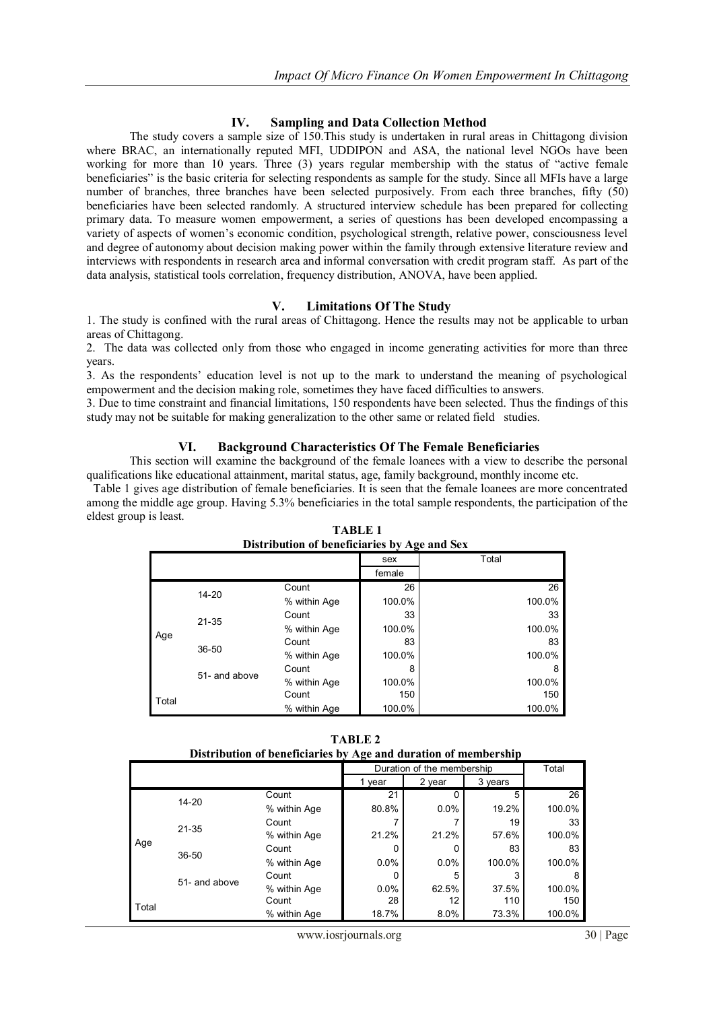#### **IV. Sampling and Data Collection Method**

The study covers a sample size of 150.This study is undertaken in rural areas in Chittagong division where BRAC, an internationally reputed MFI, UDDIPON and ASA, the national level NGOs have been working for more than 10 years. Three  $(3)$  years regular membership with the status of "active female" beneficiaries" is the basic criteria for selecting respondents as sample for the study. Since all MFIs have a large number of branches, three branches have been selected purposively. From each three branches, fifty (50) beneficiaries have been selected randomly. A structured interview schedule has been prepared for collecting primary data. To measure women empowerment, a series of questions has been developed encompassing a variety of aspects of women's economic condition, psychological strength, relative power, consciousness level and degree of autonomy about decision making power within the family through extensive literature review and interviews with respondents in research area and informal conversation with credit program staff. As part of the data analysis, statistical tools correlation, frequency distribution, ANOVA, have been applied.

#### **V. Limitations Of The Study**

1. The study is confined with the rural areas of Chittagong. Hence the results may not be applicable to urban areas of Chittagong.

2. The data was collected only from those who engaged in income generating activities for more than three years.

3. As the respondents' education level is not up to the mark to understand the meaning of psychological empowerment and the decision making role, sometimes they have faced difficulties to answers.

3. Due to time constraint and financial limitations, 150 respondents have been selected. Thus the findings of this study may not be suitable for making generalization to the other same or related field studies.

#### **VI. Background Characteristics Of The Female Beneficiaries**

This section will examine the background of the female loanees with a view to describe the personal qualifications like educational attainment, marital status, age, family background, monthly income etc.

 Table 1 gives age distribution of female beneficiaries. It is seen that the female loanees are more concentrated among the middle age group. Having 5.3% beneficiaries in the total sample respondents, the participation of the eldest group is least.

|       | Distribution of beneficiaries by Age and Sex |              |        |        |  |  |  |
|-------|----------------------------------------------|--------------|--------|--------|--|--|--|
|       |                                              |              | sex    | Total  |  |  |  |
|       |                                              |              | female |        |  |  |  |
|       | $14 - 20$                                    | Count        | 26     | 26     |  |  |  |
|       |                                              | % within Age | 100.0% | 100.0% |  |  |  |
|       | $21 - 35$                                    | Count        | 33     | 33     |  |  |  |
| Age   |                                              | % within Age | 100.0% | 100.0% |  |  |  |
|       | $36 - 50$                                    | Count        | 83     | 83     |  |  |  |
|       |                                              | % within Age | 100.0% | 100.0% |  |  |  |
|       | 51- and above                                | Count        | 8      | 8      |  |  |  |
|       |                                              | % within Age | 100.0% | 100.0% |  |  |  |
| Total |                                              | Count        | 150    | 150    |  |  |  |
|       |                                              | % within Age | 100.0% | 100.0% |  |  |  |

**TABLE 1 Distribution of beneficiaries by Age and Sex**

**TABLE 2 Distribution of beneficiaries by Age and duration of membership**

|       |               |              | $\overline{\phantom{a}}$ |                            |         |        |
|-------|---------------|--------------|--------------------------|----------------------------|---------|--------|
|       |               |              |                          | Duration of the membership |         | Total  |
|       |               |              | year                     | 2 year                     | 3 years |        |
|       | $14 - 20$     | Count        | 21                       |                            | 5       | 26     |
|       |               | % within Age | 80.8%                    | 0.0%                       | 19.2%   | 100.0% |
| Age   | $21 - 35$     | Count        |                          |                            | 19      | 33     |
|       |               | % within Age | 21.2%                    | 21.2%                      | 57.6%   | 100.0% |
|       | $36 - 50$     | Count        | 0                        | ი                          | 83      | 83     |
|       |               | % within Age | 0.0%                     | 0.0%                       | 100.0%  | 100.0% |
|       |               | Count        |                          | 5                          | 3       | 8      |
|       | 51- and above | % within Age | 0.0%                     | 62.5%                      | 37.5%   | 100.0% |
| Total |               | Count        | 28                       | 12                         | 110     | 150    |
|       |               | % within Age | 18.7%                    | 8.0%                       | 73.3%   | 100.0% |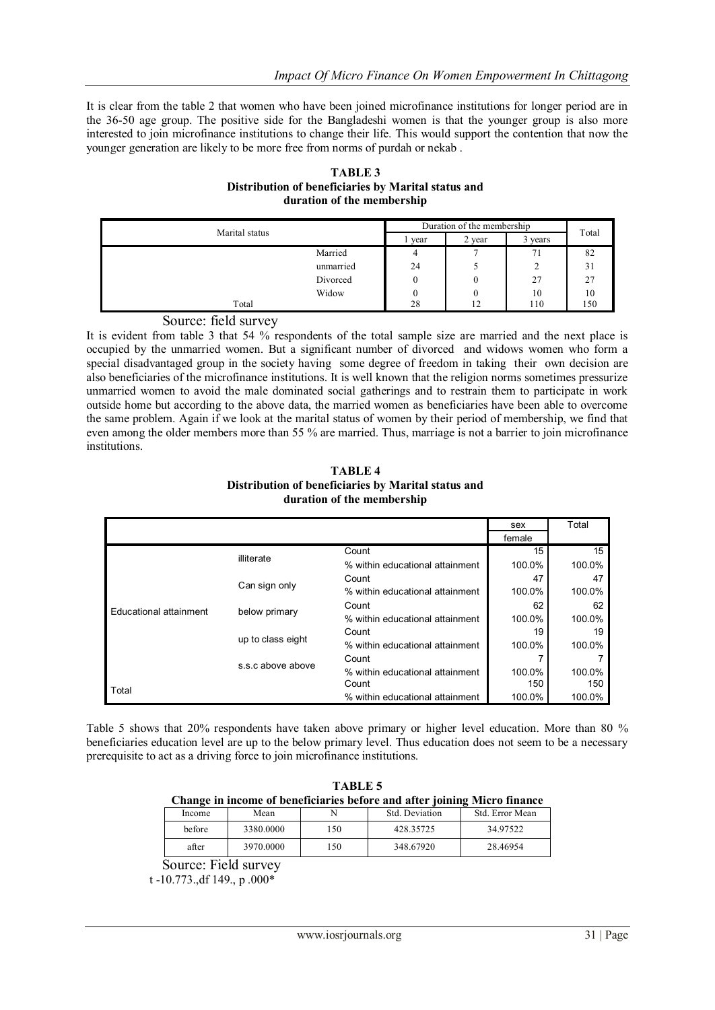It is clear from the table 2 that women who have been joined microfinance institutions for longer period are in the 36-50 age group. The positive side for the Bangladeshi women is that the younger group is also more interested to join microfinance institutions to change their life. This would support the contention that now the younger generation are likely to be more free from norms of purdah or nekab .

**TABLE 3 Distribution of beneficiaries by Marital status and duration of the membership**

|                | Duration of the membership |        |         |       |
|----------------|----------------------------|--------|---------|-------|
| Marital status | year                       | 2 year | 3 years | Total |
| Married        | 4                          |        |         | 82    |
| unmarried      | 24                         |        | ∸       | 31    |
| Divorced       |                            |        | 27      | 27    |
| Widow          |                            |        | 10      | 10    |
| Total          | 28                         |        | 110     | 150   |

### Source: field survey

It is evident from table 3 that 54 % respondents of the total sample size are married and the next place is occupied by the unmarried women. But a significant number of divorced and widows women who form a special disadvantaged group in the society having some degree of freedom in taking their own decision are also beneficiaries of the microfinance institutions. It is well known that the religion norms sometimes pressurize unmarried women to avoid the male dominated social gatherings and to restrain them to participate in work outside home but according to the above data, the married women as beneficiaries have been able to overcome the same problem. Again if we look at the marital status of women by their period of membership, we find that even among the older members more than 55 % are married. Thus, marriage is not a barrier to join microfinance institutions.

#### **TABLE 4 Distribution of beneficiaries by Marital status and duration of the membership**

|                        |                   |                                 | sex    | Total  |
|------------------------|-------------------|---------------------------------|--------|--------|
|                        |                   |                                 | female |        |
|                        |                   | Count                           | 15     | 15     |
|                        | illiterate        | % within educational attainment | 100.0% | 100.0% |
|                        | Can sign only     | Count                           | 47     | 47     |
|                        |                   | % within educational attainment | 100.0% | 100.0% |
| Educational attainment | below primary     | Count                           | 62     | 62     |
|                        |                   | % within educational attainment | 100.0% | 100.0% |
|                        | up to class eight | Count                           | 19     | 19     |
|                        |                   | % within educational attainment | 100.0% | 100.0% |
|                        | s.s.c above above | Count                           |        |        |
|                        |                   | % within educational attainment | 100.0% | 100.0% |
| Total                  |                   | Count                           | 150    | 150    |
|                        |                   | % within educational attainment | 100.0% | 100.0% |

Table 5 shows that 20% respondents have taken above primary or higher level education. More than 80 % beneficiaries education level are up to the below primary level. Thus education does not seem to be a necessary prerequisite to act as a driving force to join microfinance institutions.

| <b>TABLE 5</b>                                                           |
|--------------------------------------------------------------------------|
| Change in income of beneficiaries before and after joining Micro finance |

| Income | Mean      |    | Std. Deviation | Std. Error Mean |
|--------|-----------|----|----------------|-----------------|
| before | 3380,0000 | 50 | 428.35725      | 34.97522        |
| after  | 3970.0000 | 50 | 348.67920      | 28.46954        |

Source: Field survey

t -10.773.,df 149., p .000\*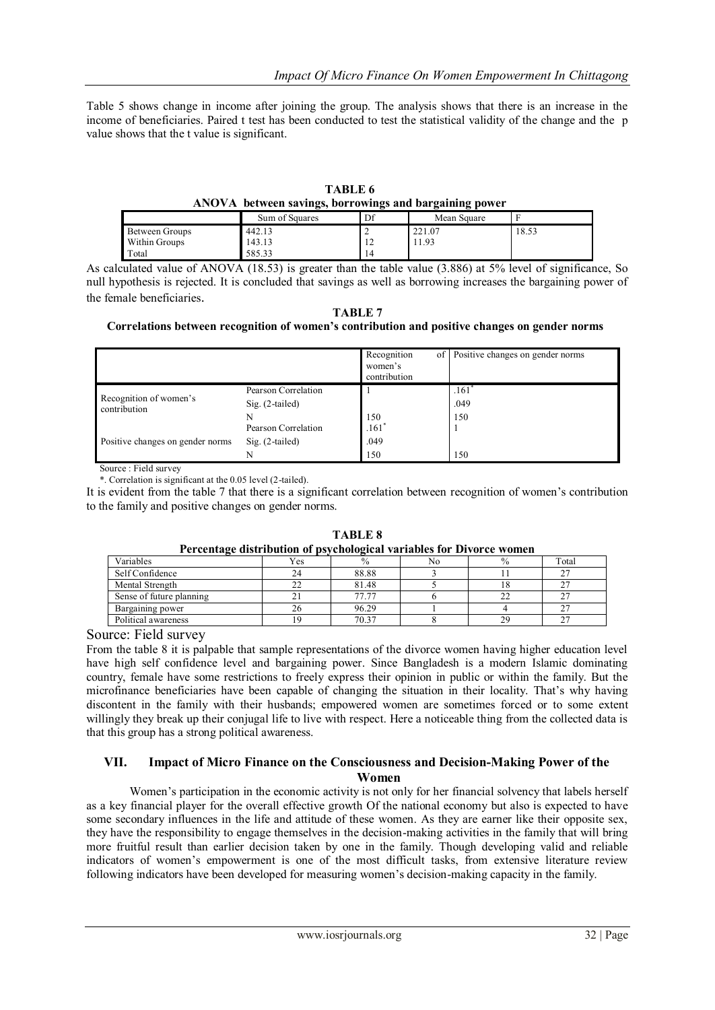Table 5 shows change in income after joining the group. The analysis shows that there is an increase in the income of beneficiaries. Paired t test has been conducted to test the statistical validity of the change and the p value shows that the t value is significant.

| TABLE 6                                                |
|--------------------------------------------------------|
| ANOVA between savings, borrowings and bargaining power |

|                | $\sim$         | −               | $\sim$ $\sim$<br>- |       |
|----------------|----------------|-----------------|--------------------|-------|
|                | Sum of Squares | Df              | Mean Square        |       |
| Between Groups | 442.13         |                 | 221.07             | 18.53 |
| Within Groups  | 143.13         | - 12            | 1.93               |       |
| Total          | 585.33         | $\overline{14}$ |                    |       |

As calculated value of ANOVA (18.53) is greater than the table value (3.886) at 5% level of significance, So null hypothesis is rejected. It is concluded that savings as well as borrowing increases the bargaining power of the female beneficiaries.

**TABLE 7**

#### **Correlations between recognition of women's contribution and positive changes on gender norms**

|                                        |                     | Recognition<br>women's<br>contribution | of Positive changes on gender norms |
|----------------------------------------|---------------------|----------------------------------------|-------------------------------------|
|                                        | Pearson Correlation |                                        | .161                                |
| Recognition of women's<br>contribution | $Sig. (2-tailed)$   |                                        | .049                                |
|                                        |                     | 150                                    | 150                                 |
|                                        | Pearson Correlation | $.161*$                                |                                     |
| Positive changes on gender norms       | $Sig. (2-tailed)$   | .049                                   |                                     |
|                                        |                     | 150                                    | 150                                 |

Source : Field survey

\*. Correlation is significant at the 0.05 level (2-tailed).

It is evident from the table 7 that there is a significant correlation between recognition of women's contribution to the family and positive changes on gender norms.

| Percentage distribution of psychological variables for Divorce women |     |       |    |    |             |  |  |
|----------------------------------------------------------------------|-----|-------|----|----|-------------|--|--|
| Variables                                                            | Yes |       | No |    | Total       |  |  |
| Self Confidence                                                      | 24  | 88.88 |    |    | $2^{\circ}$ |  |  |
| Mental Strength                                                      | 22  | 81.48 |    |    |             |  |  |
| Sense of future planning                                             |     | 77.77 |    |    |             |  |  |
| Bargaining power                                                     | 26  | 96.29 |    |    | $\sim$      |  |  |
| Political awareness                                                  | 19  | 70.37 |    | 29 | 27          |  |  |

**TABLE 8 Persentage distribution of psychological variables for Divorce wome** 

Source: Field survey

From the table 8 it is palpable that sample representations of the divorce women having higher education level have high self confidence level and bargaining power. Since Bangladesh is a modern Islamic dominating country, female have some restrictions to freely express their opinion in public or within the family. But the microfinance beneficiaries have been capable of changing the situation in their locality. That's why having discontent in the family with their husbands; empowered women are sometimes forced or to some extent willingly they break up their conjugal life to live with respect. Here a noticeable thing from the collected data is that this group has a strong political awareness.

#### **VII. Impact of Micro Finance on the Consciousness and Decision-Making Power of the Women**

Women's participation in the economic activity is not only for her financial solvency that labels herself as a key financial player for the overall effective growth Of the national economy but also is expected to have some secondary influences in the life and attitude of these women. As they are earner like their opposite sex, they have the responsibility to engage themselves in the decision-making activities in the family that will bring more fruitful result than earlier decision taken by one in the family. Though developing valid and reliable indicators of women's empowerment is one of the most difficult tasks, from extensive literature review following indicators have been developed for measuring women's decision-making capacity in the family.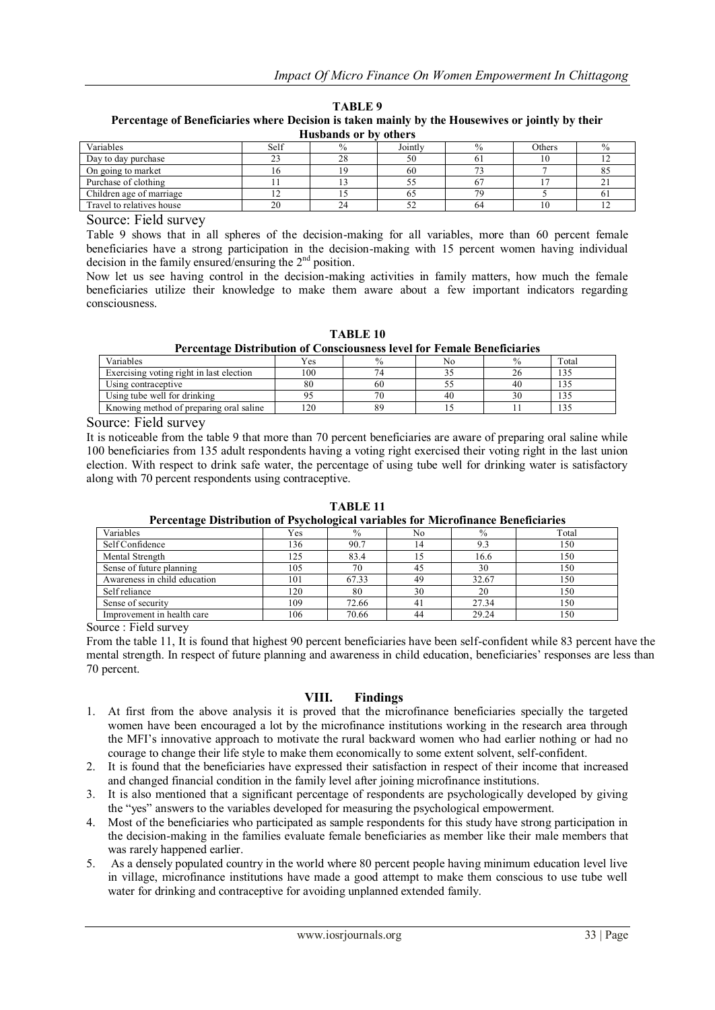| `ABLE | 11 |
|-------|----|
|-------|----|

**Percentage of Beneficiaries where Decision is taken mainly by the Housewives or jointly by their Husbands or by others**

| ттаэранаэ ог рэ<br>_vulvi 9 |      |    |         |      |        |           |  |  |
|-----------------------------|------|----|---------|------|--------|-----------|--|--|
| Variables                   | Self |    | Jointly | $\%$ | Others |           |  |  |
| Day to day purchase         | 23   | 28 | 50      | οı   | 10     |           |  |  |
| On going to market          | ιo   |    | 60      |      |        | $\circ$ . |  |  |
| Purchase of clothing        |      |    |         |      |        |           |  |  |
| Children age of marriage    |      |    | 02      | 70   |        | $_{0}$    |  |  |
| Travel to relatives house   | 20   | 24 | 52      | 64   | 10     |           |  |  |

Source: Field survey

Table 9 shows that in all spheres of the decision-making for all variables, more than 60 percent female beneficiaries have a strong participation in the decision-making with 15 percent women having individual decision in the family ensured/ensuring the 2nd position.

Now let us see having control in the decision-making activities in family matters, how much the female beneficiaries utilize their knowledge to make them aware about a few important indicators regarding consciousness.

**TABLE 10 Percentage Distribution of Consciousness level for Female Beneficiaries**

| <u>a va vvalent v adelad meldal oli toladvao mollvoo le fel loli a valente afvalentilled</u> |              |      |    |      |       |  |  |  |
|----------------------------------------------------------------------------------------------|--------------|------|----|------|-------|--|--|--|
| Variables                                                                                    | $v_{\rm es}$ | $\%$ | Nc | $\%$ | Total |  |  |  |
| Exercising voting right in last election                                                     | 100          |      |    |      |       |  |  |  |
| Using contraceptive                                                                          | 80           | 60   |    | 40   |       |  |  |  |
| Using tube well for drinking                                                                 |              | 70   | 40 |      |       |  |  |  |
| Knowing method of preparing oral saline                                                      | 20           | 89   |    |      | 1 J J |  |  |  |

Source: Field survey

It is noticeable from the table 9 that more than 70 percent beneficiaries are aware of preparing oral saline while 100 beneficiaries from 135 adult respondents having a voting right exercised their voting right in the last union election. With respect to drink safe water, the percentage of using tube well for drinking water is satisfactory along with 70 percent respondents using contraceptive.

**TABLE 11 Percentage Distribution of Psychological variables for Microfinance Beneficiaries**

| Variables                    | Yes | $\%$  | No | $\%$  | Total |  |  |  |
|------------------------------|-----|-------|----|-------|-------|--|--|--|
| Self Confidence              | 136 | 90.7  | 14 |       | 150   |  |  |  |
| Mental Strength              | 125 | 83.4  |    | 16.6  | l 50  |  |  |  |
| Sense of future planning     | 105 | 70    | 45 | 30    | 150   |  |  |  |
| Awareness in child education | 101 | 67.33 | 49 | 32.67 | 150   |  |  |  |
| Self reliance                | 120 | 80    | 30 | 20    | 150   |  |  |  |
| Sense of security            | 109 | 72.66 | 41 | 27.34 | 150   |  |  |  |
| Improvement in health care   | 106 | 70.66 | 44 | 29.24 | 50    |  |  |  |

Source : Field survey

From the table 11, It is found that highest 90 percent beneficiaries have been self-confident while 83 percent have the mental strength. In respect of future planning and awareness in child education, beneficiaries' responses are less than 70 percent.

#### **VIII. Findings**

- 1. At first from the above analysis it is proved that the microfinance beneficiaries specially the targeted women have been encouraged a lot by the microfinance institutions working in the research area through the MFI's innovative approach to motivate the rural backward women who had earlier nothing or had no courage to change their life style to make them economically to some extent solvent, self-confident.
- 2. It is found that the beneficiaries have expressed their satisfaction in respect of their income that increased and changed financial condition in the family level after joining microfinance institutions.
- 3. It is also mentioned that a significant percentage of respondents are psychologically developed by giving the "yes" answers to the variables developed for measuring the psychological empowerment.
- 4. Most of the beneficiaries who participated as sample respondents for this study have strong participation in the decision-making in the families evaluate female beneficiaries as member like their male members that was rarely happened earlier.
- 5. As a densely populated country in the world where 80 percent people having minimum education level live in village, microfinance institutions have made a good attempt to make them conscious to use tube well water for drinking and contraceptive for avoiding unplanned extended family.